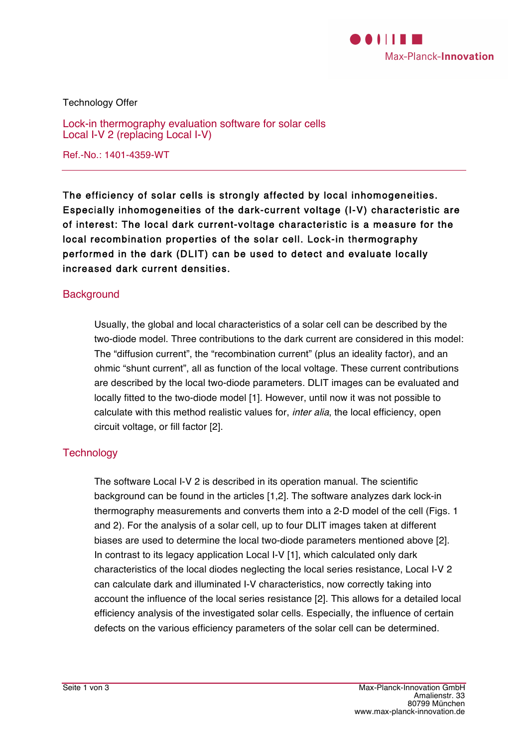

Technology Offer

Lock-in thermography evaluation software for solar cells Local I-V 2 (replacing Local I-V)

Ref.-No.: 1401-4359-WT

The efficiency of solar cells is strongly affected by local inhomogeneities. Especially inhomogeneities of the dark-current voltage (I-V) characteristic are of interest: The local dark current-voltage characteristic is a measure for the local recombination properties of the solar cell. Lock-in thermography performed in the dark (DLIT) can be used to detect and evaluate locally increased dark current densities.

# **Background**

Usually, the global and local characteristics of a solar cell can be described by the two-diode model. Three contributions to the dark current are considered in this model: The "diffusion current", the "recombination current" (plus an ideality factor), and an ohmic "shunt current", all as function of the local voltage. These current contributions are described by the local two-diode parameters. DLIT images can be evaluated and locally fitted to the two-diode model [1]. However, until now it was not possible to calculate with this method realistic values for, *inter alia*, the local efficiency, open circuit voltage, or fill factor [2].

### **Technology**

The software Local I-V 2 is described in its operation manual. The scientific background can be found in the articles [1,2]. The software analyzes dark lock-in thermography measurements and converts them into a 2-D model of the cell (Figs. 1 and 2). For the analysis of a solar cell, up to four DLIT images taken at different biases are used to determine the local two-diode parameters mentioned above [2]. In contrast to its legacy application Local I-V [1], which calculated only dark characteristics of the local diodes neglecting the local series resistance, Local I-V 2 can calculate dark and illuminated I-V characteristics, now correctly taking into account the influence of the local series resistance [2]. This allows for a detailed local efficiency analysis of the investigated solar cells. Especially, the influence of certain defects on the various efficiency parameters of the solar cell can be determined.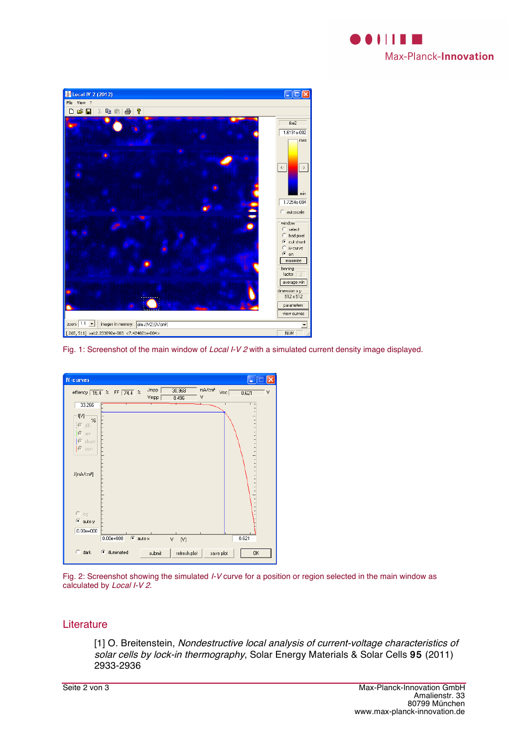



Fig. 1: Screenshot of the main window of Local I-V 2 with a simulated current density image displayed.



Fig. 2: Screenshot showing the simulated *I-V* curve for a position or region selected in the main window as calculated by Local I-V 2.

#### **Literature**

[1] O. Breitenstein, Nondestructive local analysis of current-voltage characteristics of solar cells by lock-in thermography, Solar Energy Materials & Solar Cells 95 (2011) 2933-2936